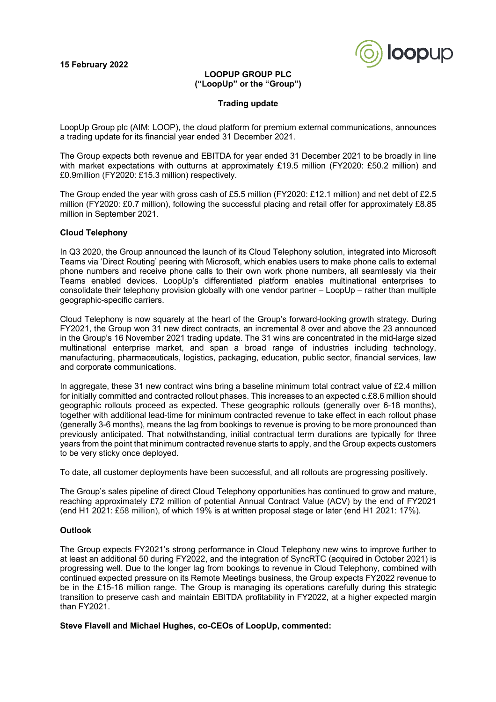

### **LOOPUP GROUP PLC ("LoopUp" or the "Group")**

#### **Trading update**

LoopUp Group plc (AIM: LOOP), the cloud platform for premium external communications, announces a trading update for its financial year ended 31 December 2021.

The Group expects both revenue and EBITDA for year ended 31 December 2021 to be broadly in line with market expectations with outturns at approximately £19.5 million (FY2020: £50.2 million) and £0.9million (FY2020: £15.3 million) respectively.

The Group ended the year with gross cash of £5.5 million (FY2020: £12.1 million) and net debt of £2.5 million (FY2020: £0.7 million), following the successful placing and retail offer for approximately £8.85 million in September 2021.

### **Cloud Telephony**

In Q3 2020, the Group announced the launch of its Cloud Telephony solution, integrated into Microsoft Teams via 'Direct Routing' peering with Microsoft, which enables users to make phone calls to external phone numbers and receive phone calls to their own work phone numbers, all seamlessly via their Teams enabled devices. LoopUp's differentiated platform enables multinational enterprises to consolidate their telephony provision globally with one vendor partner – LoopUp – rather than multiple geographic-specific carriers.

Cloud Telephony is now squarely at the heart of the Group's forward-looking growth strategy. During FY2021, the Group won 31 new direct contracts, an incremental 8 over and above the 23 announced in the Group's 16 November 2021 trading update. The 31 wins are concentrated in the mid-large sized multinational enterprise market, and span a broad range of industries including technology, manufacturing, pharmaceuticals, logistics, packaging, education, public sector, financial services, law and corporate communications.

In aggregate, these 31 new contract wins bring a baseline minimum total contract value of £2.4 million for initially committed and contracted rollout phases. This increases to an expected c.£8.6 million should geographic rollouts proceed as expected. These geographic rollouts (generally over 6-18 months), together with additional lead-time for minimum contracted revenue to take effect in each rollout phase (generally 3-6 months), means the lag from bookings to revenue is proving to be more pronounced than previously anticipated. That notwithstanding, initial contractual term durations are typically for three years from the point that minimum contracted revenue starts to apply, and the Group expects customers to be very sticky once deployed.

To date, all customer deployments have been successful, and all rollouts are progressing positively.

The Group's sales pipeline of direct Cloud Telephony opportunities has continued to grow and mature, reaching approximately £72 million of potential Annual Contract Value (ACV) by the end of FY2021 (end H1 2021: £58 million), of which 19% is at written proposal stage or later (end H1 2021: 17%).

#### **Outlook**

The Group expects FY2021's strong performance in Cloud Telephony new wins to improve further to at least an additional 50 during FY2022, and the integration of SyncRTC (acquired in October 2021) is progressing well. Due to the longer lag from bookings to revenue in Cloud Telephony, combined with continued expected pressure on its Remote Meetings business, the Group expects FY2022 revenue to be in the £15-16 million range. The Group is managing its operations carefully during this strategic transition to preserve cash and maintain EBITDA profitability in FY2022, at a higher expected margin than FY2021.

## **Steve Flavell and Michael Hughes, co-CEOs of LoopUp, commented:**